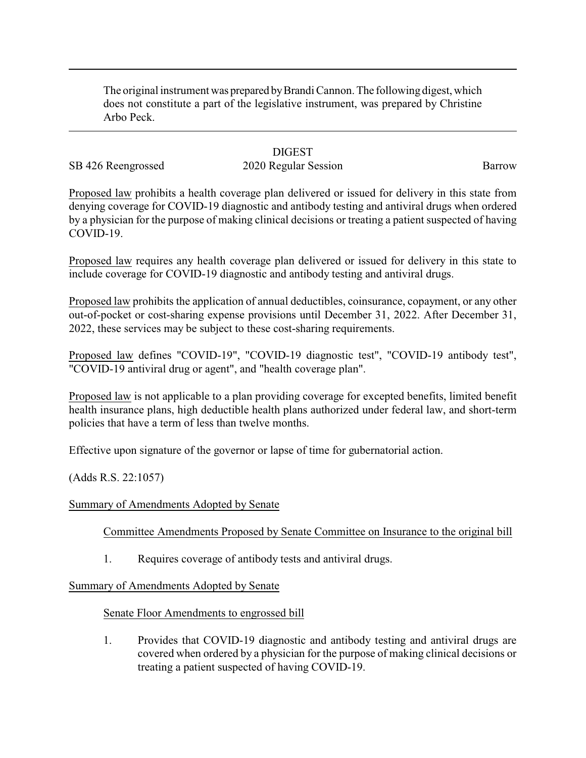The original instrument was prepared byBrandi Cannon. The following digest, which does not constitute a part of the legislative instrument, was prepared by Christine Arbo Peck.

## **DIGEST**

# SB 426 Reengrossed 2020 Regular Session Barrow

Proposed law prohibits a health coverage plan delivered or issued for delivery in this state from denying coverage for COVID-19 diagnostic and antibody testing and antiviral drugs when ordered by a physician for the purpose of making clinical decisions or treating a patient suspected of having COVID-19.

Proposed law requires any health coverage plan delivered or issued for delivery in this state to include coverage for COVID-19 diagnostic and antibody testing and antiviral drugs.

Proposed law prohibits the application of annual deductibles, coinsurance, copayment, or any other out-of-pocket or cost-sharing expense provisions until December 31, 2022. After December 31, 2022, these services may be subject to these cost-sharing requirements.

Proposed law defines "COVID-19", "COVID-19 diagnostic test", "COVID-19 antibody test", "COVID-19 antiviral drug or agent", and "health coverage plan".

Proposed law is not applicable to a plan providing coverage for excepted benefits, limited benefit health insurance plans, high deductible health plans authorized under federal law, and short-term policies that have a term of less than twelve months.

Effective upon signature of the governor or lapse of time for gubernatorial action.

(Adds R.S. 22:1057)

### Summary of Amendments Adopted by Senate

Committee Amendments Proposed by Senate Committee on Insurance to the original bill

1. Requires coverage of antibody tests and antiviral drugs.

### Summary of Amendments Adopted by Senate

### Senate Floor Amendments to engrossed bill

1. Provides that COVID-19 diagnostic and antibody testing and antiviral drugs are covered when ordered by a physician for the purpose of making clinical decisions or treating a patient suspected of having COVID-19.